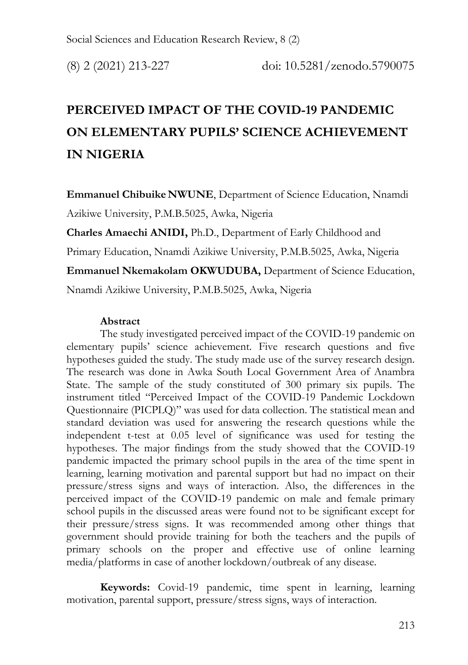# **PERCEIVED IMPACT OF THE COVID-19 PANDEMIC ON ELEMENTARY PUPILS' SCIENCE ACHIEVEMENT IN NIGERIA**

**Emmanuel Chibuike NWUNE**, Department of Science Education, Nnamdi Azikiwe University, P.M.B.5025, Awka, Nigeria

**Charles Amaechi ANIDI,** Ph.D., Department of Early Childhood and

Primary Education, Nnamdi Azikiwe University, P.M.B.5025, Awka, Nigeria

**Emmanuel Nkemakolam OKWUDUBA,** Department of Science Education,

Nnamdi Azikiwe University, P.M.B.5025, Awka, Nigeria

### **Abstract**

The study investigated perceived impact of the COVID-19 pandemic on elementary pupils' science achievement. Five research questions and five hypotheses guided the study. The study made use of the survey research design. The research was done in Awka South Local Government Area of Anambra State. The sample of the study constituted of 300 primary six pupils. The instrument titled "Perceived Impact of the COVID-19 Pandemic Lockdown Questionnaire (PICPLQ)" was used for data collection. The statistical mean and standard deviation was used for answering the research questions while the independent t-test at 0.05 level of significance was used for testing the hypotheses. The major findings from the study showed that the COVID-19 pandemic impacted the primary school pupils in the area of the time spent in learning, learning motivation and parental support but had no impact on their pressure/stress signs and ways of interaction. Also, the differences in the perceived impact of the COVID-19 pandemic on male and female primary school pupils in the discussed areas were found not to be significant except for their pressure/stress signs. It was recommended among other things that government should provide training for both the teachers and the pupils of primary schools on the proper and effective use of online learning media/platforms in case of another lockdown/outbreak of any disease.

**Keywords:** Covid-19 pandemic, time spent in learning, learning motivation, parental support, pressure/stress signs, ways of interaction.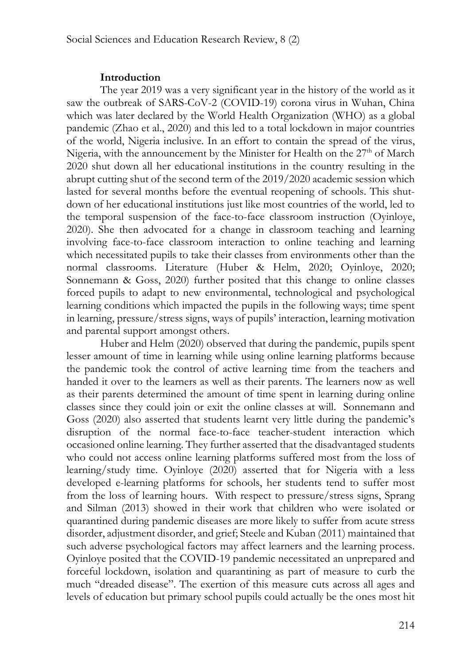#### **Introduction**

The year 2019 was a very significant year in the history of the world as it saw the outbreak of SARS-CoV-2 (COVID-19) corona virus in Wuhan, China which was later declared by the World Health Organization (WHO) as a global pandemic (Zhao et al., 2020) and this led to a total lockdown in major countries of the world, Nigeria inclusive. In an effort to contain the spread of the virus, Nigeria, with the announcement by the Minister for Health on the  $27<sup>th</sup>$  of March 2020 shut down all her educational institutions in the country resulting in the abrupt cutting shut of the second term of the 2019/2020 academic session which lasted for several months before the eventual reopening of schools. This shutdown of her educational institutions just like most countries of the world, led to the temporal suspension of the face-to-face classroom instruction (Oyinloye, 2020). She then advocated for a change in classroom teaching and learning involving face-to-face classroom interaction to online teaching and learning which necessitated pupils to take their classes from environments other than the normal classrooms. Literature (Huber & Helm, 2020; Oyinloye, 2020; Sonnemann & Goss, 2020) further posited that this change to online classes forced pupils to adapt to new environmental, technological and psychological learning conditions which impacted the pupils in the following ways; time spent in learning, pressure/stress signs, ways of pupils' interaction, learning motivation and parental support amongst others.

Huber and Helm (2020) observed that during the pandemic, pupils spent lesser amount of time in learning while using online learning platforms because the pandemic took the control of active learning time from the teachers and handed it over to the learners as well as their parents. The learners now as well as their parents determined the amount of time spent in learning during online classes since they could join or exit the online classes at will. Sonnemann and Goss (2020) also asserted that students learnt very little during the pandemic's disruption of the normal face-to-face teacher-student interaction which occasioned online learning. They further asserted that the disadvantaged students who could not access online learning platforms suffered most from the loss of learning/study time. Oyinloye (2020) asserted that for Nigeria with a less developed e-learning platforms for schools, her students tend to suffer most from the loss of learning hours. With respect to pressure/stress signs, Sprang and Silman (2013) showed in their work that children who were isolated or quarantined during pandemic diseases are more likely to suffer from acute stress disorder, adjustment disorder, and grief; Steele and Kuban (2011) maintained that such adverse psychological factors may affect learners and the learning process. Oyinloye posited that the COVID-19 pandemic necessitated an unprepared and forceful lockdown, isolation and quarantining as part of measure to curb the much "dreaded disease". The exertion of this measure cuts across all ages and levels of education but primary school pupils could actually be the ones most hit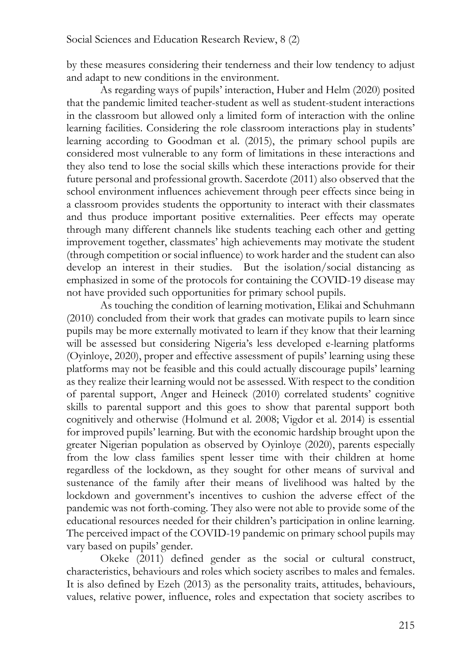by these measures considering their tenderness and their low tendency to adjust and adapt to new conditions in the environment.

As regarding ways of pupils' interaction, Huber and Helm (2020) posited that the pandemic limited teacher-student as well as student-student interactions in the classroom but allowed only a limited form of interaction with the online learning facilities. Considering the role classroom interactions play in students' learning according to Goodman et al. (2015), the primary school pupils are considered most vulnerable to any form of limitations in these interactions and they also tend to lose the social skills which these interactions provide for their future personal and professional growth. Sacerdote (2011) also observed that the school environment influences achievement through peer effects since being in a classroom provides students the opportunity to interact with their classmates and thus produce important positive externalities. Peer effects may operate through many different channels like students teaching each other and getting improvement together, classmates' high achievements may motivate the student (through competition or social influence) to work harder and the student can also develop an interest in their studies. But the isolation/social distancing as emphasized in some of the protocols for containing the COVID-19 disease may not have provided such opportunities for primary school pupils.

As touching the condition of learning motivation, Elikai and Schuhmann (2010) concluded from their work that grades can motivate pupils to learn since pupils may be more externally motivated to learn if they know that their learning will be assessed but considering Nigeria's less developed e-learning platforms (Oyinloye, 2020), proper and effective assessment of pupils' learning using these platforms may not be feasible and this could actually discourage pupils' learning as they realize their learning would not be assessed. With respect to the condition of parental support, Anger and Heineck (2010) correlated students' cognitive skills to parental support and this goes to show that parental support both cognitively and otherwise (Holmund et al. 2008; Vigdor et al. 2014) is essential for improved pupils' learning. But with the economic hardship brought upon the greater Nigerian population as observed by Oyinloye (2020), parents especially from the low class families spent lesser time with their children at home regardless of the lockdown, as they sought for other means of survival and sustenance of the family after their means of livelihood was halted by the lockdown and government's incentives to cushion the adverse effect of the pandemic was not forth-coming. They also were not able to provide some of the educational resources needed for their children's participation in online learning. The perceived impact of the COVID-19 pandemic on primary school pupils may vary based on pupils' gender.

Okeke (2011) defined gender as the social or cultural construct, characteristics, behaviours and roles which society ascribes to males and females. It is also defined by Ezeh (2013) as the personality traits, attitudes, behaviours, values, relative power, influence, roles and expectation that society ascribes to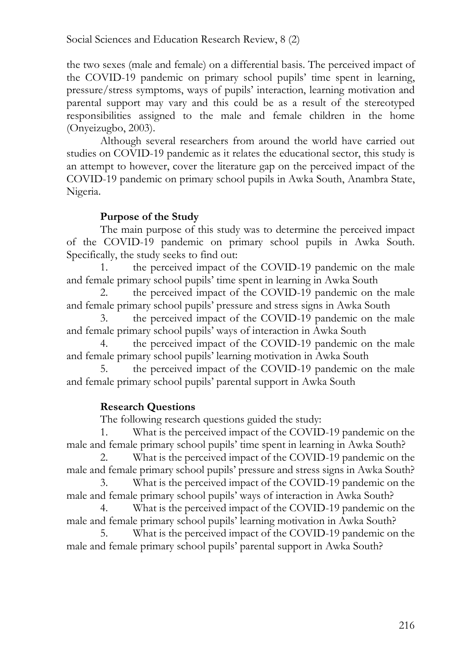the two sexes (male and female) on a differential basis. The perceived impact of the COVID-19 pandemic on primary school pupils' time spent in learning, pressure/stress symptoms, ways of pupils' interaction, learning motivation and parental support may vary and this could be as a result of the stereotyped responsibilities assigned to the male and female children in the home (Onyeizugbo, 2003).

Although several researchers from around the world have carried out studies on COVID-19 pandemic as it relates the educational sector, this study is an attempt to however, cover the literature gap on the perceived impact of the COVID-19 pandemic on primary school pupils in Awka South, Anambra State, Nigeria.

### **Purpose of the Study**

The main purpose of this study was to determine the perceived impact of the COVID-19 pandemic on primary school pupils in Awka South. Specifically, the study seeks to find out:

1. the perceived impact of the COVID-19 pandemic on the male and female primary school pupils' time spent in learning in Awka South

2. the perceived impact of the COVID-19 pandemic on the male and female primary school pupils' pressure and stress signs in Awka South

3. the perceived impact of the COVID-19 pandemic on the male and female primary school pupils' ways of interaction in Awka South

the perceived impact of the COVID-19 pandemic on the male and female primary school pupils' learning motivation in Awka South

5. the perceived impact of the COVID-19 pandemic on the male and female primary school pupils' parental support in Awka South

# **Research Questions**

The following research questions guided the study:

1. What is the perceived impact of the COVID-19 pandemic on the male and female primary school pupils' time spent in learning in Awka South?

2. What is the perceived impact of the COVID-19 pandemic on the male and female primary school pupils' pressure and stress signs in Awka South?

3. What is the perceived impact of the COVID-19 pandemic on the male and female primary school pupils' ways of interaction in Awka South?

4. What is the perceived impact of the COVID-19 pandemic on the male and female primary school pupils' learning motivation in Awka South?

5. What is the perceived impact of the COVID-19 pandemic on the male and female primary school pupils' parental support in Awka South?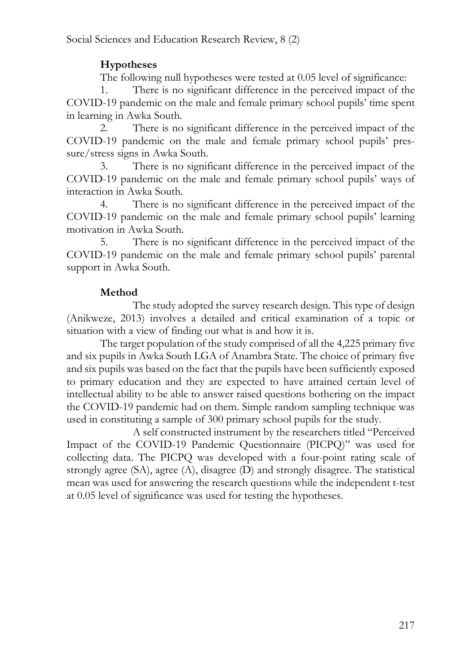# **Hypotheses**

The following null hypotheses were tested at 0.05 level of significance:

1. There is no significant difference in the perceived impact of the COVID-19 pandemic on the male and female primary school pupils' time spent in learning in Awka South.

2. There is no significant difference in the perceived impact of the COVID-19 pandemic on the male and female primary school pupils' pressure/stress signs in Awka South.

3. There is no significant difference in the perceived impact of the COVID-19 pandemic on the male and female primary school pupils' ways of interaction in Awka South.

4. There is no significant difference in the perceived impact of the COVID-19 pandemic on the male and female primary school pupils' learning motivation in Awka South.

5. There is no significant difference in the perceived impact of the COVID-19 pandemic on the male and female primary school pupils' parental support in Awka South.

# **Method**

The study adopted the survey research design. This type of design (Anikweze, 2013) involves a detailed and critical examination of a topic or situation with a view of finding out what is and how it is.

The target population of the study comprised of all the 4,225 primary five and six pupils in Awka South LGA of Anambra State. The choice of primary five and six pupils was based on the fact that the pupils have been sufficiently exposed to primary education and they are expected to have attained certain level of intellectual ability to be able to answer raised questions bothering on the impact the COVID-19 pandemic had on them. Simple random sampling technique was used in constituting a sample of 300 primary school pupils for the study.

A self constructed instrument by the researchers titled "Perceived Impact of the COVID-19 Pandemic Questionnaire (PICPQ)" was used for collecting data. The PICPQ was developed with a four-point rating scale of strongly agree (SA), agree (A), disagree (D) and strongly disagree. The statistical mean was used for answering the research questions while the independent t-test at 0.05 level of significance was used for testing the hypotheses.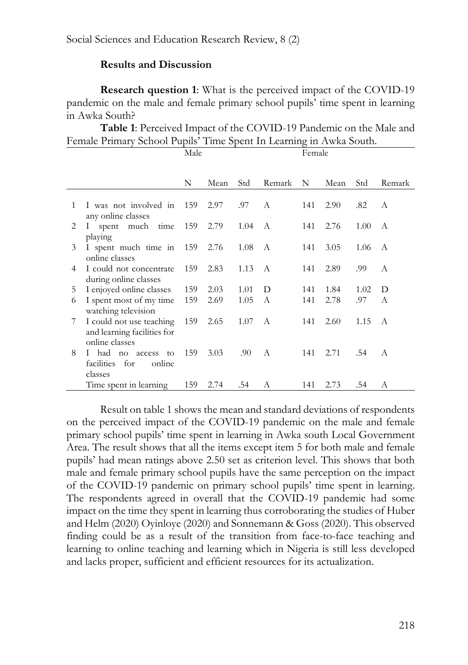### **Results and Discussion**

**Research question 1**: What is the perceived impact of the COVID-19 pandemic on the male and female primary school pupils' time spent in learning in Awka South?

**Table 1**: Perceived Impact of the COVID-19 Pandemic on the Male and Female Primary School Pupils' Time Spent In Learning in Awka South.

|   |                                                                                      | Male |             |      |              | Female |      |      |        |
|---|--------------------------------------------------------------------------------------|------|-------------|------|--------------|--------|------|------|--------|
|   |                                                                                      |      |             |      |              |        |      |      |        |
|   |                                                                                      | N    | Mean        | Std  | Remark       | N      | Mean | Std  | Remark |
| 1 | I was not involved in 159<br>any online classes                                      |      | 2.97        | .97  | $\mathsf{A}$ | 141    | 2.90 | .82  | A      |
| 2 | I spent much time                                                                    | 159  | 2.79        | 1.04 | $\mathbf{A}$ | 141    | 2.76 | 1.00 | A      |
| 3 | playing<br>I spent much time in<br>online classes                                    | 159  | 2.76        | 1.08 | A            | 141    | 3.05 | 1.06 | A      |
| 4 | I could not concentrate<br>during online classes                                     |      | 2.83        | 1.13 | A            | 141    | 2.89 | .99  | A      |
| 5 | I enjoyed online classes                                                             | 159  | 2.03        | 1.01 | D            | 141    | 1.84 | 1.02 | D      |
| 6 | I spent most of my time<br>watching television                                       | 159  | 2.69        | 1.05 | $\mathsf{A}$ | 141    | 2.78 | .97  | A      |
| 7 | I could not use teaching<br>and learning facilities for<br>online classes            |      | 159<br>2.65 | 1.07 | A            | 141    | 2.60 | 1.15 | A      |
| 8 | had<br>$\mathbf{L}$<br>$\overline{p}$<br>to<br>access<br>facilities<br>for<br>online | 159  | 3.03        | .90  | A            | 141    | 2.71 | .54  | A      |
|   | classes                                                                              |      | 2.74        |      |              |        |      | .54  | A      |
|   | Time spent in learning                                                               | 159  |             | .54  | А            | 141    | 2.73 |      |        |

Result on table 1 shows the mean and standard deviations of respondents on the perceived impact of the COVID-19 pandemic on the male and female primary school pupils' time spent in learning in Awka south Local Government Area. The result shows that all the items except item 5 for both male and female pupils' had mean ratings above 2.50 set as criterion level. This shows that both male and female primary school pupils have the same perception on the impact of the COVID-19 pandemic on primary school pupils' time spent in learning. The respondents agreed in overall that the COVID-19 pandemic had some impact on the time they spent in learning thus corroborating the studies of Huber and Helm (2020) Oyinloye (2020) and Sonnemann & Goss (2020). This observed finding could be as a result of the transition from face-to-face teaching and learning to online teaching and learning which in Nigeria is still less developed and lacks proper, sufficient and efficient resources for its actualization.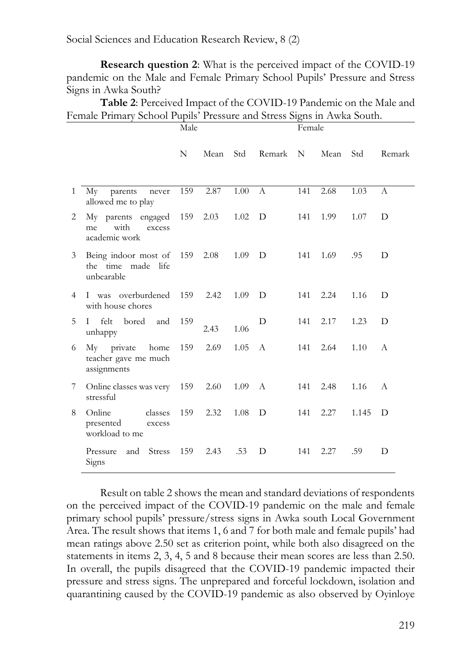**Research question 2**: What is the perceived impact of the COVID-19 pandemic on the Male and Female Primary School Pupils' Pressure and Stress Signs in Awka South?

**Table 2**: Perceived Impact of the COVID-19 Pandemic on the Male and Female Primary School Pupils' Pressure and Stress Signs in Awka South.

|   |                                                              | Male |      |      |              | Female |      |       |              |
|---|--------------------------------------------------------------|------|------|------|--------------|--------|------|-------|--------------|
|   |                                                              | N    | Mean | Std  | Remark       | N.     | Mean | Std   | Remark       |
| 1 | Мy<br>parents<br>never<br>allowed me to play                 | 159  | 2.87 | 1.00 | $\mathbf{A}$ | 141    | 2.68 | 1.03  | A            |
| 2 | My parents engaged<br>with<br>excess<br>me<br>academic work  | 159  | 2.03 | 1.02 | D            | 141    | 1.99 | 1.07  | D            |
| 3 | Being indoor most of 159<br>the time made life<br>unbearable |      | 2.08 | 1.09 | D            | 141    | 1.69 | .95   | D            |
| 4 | I was overburdened<br>with house chores                      | 159  | 2.42 | 1.09 | D            | 141    | 2.24 | 1.16  | D            |
| 5 | felt<br>bored<br>L<br>and<br>unhappy                         | 159  | 2.43 | 1.06 | D            | 141    | 2.17 | 1.23  | D            |
| 6 | My private<br>home<br>teacher gave me much<br>assignments    | 159  | 2.69 | 1.05 | $\mathsf{A}$ | 141    | 2.64 | 1.10  | $\mathsf{A}$ |
| 7 | Online classes was very<br>stressful                         | 159  | 2.60 | 1.09 | A            | 141    | 2.48 | 1.16  | A            |
| 8 | Online<br>classes<br>presented<br>excess<br>workload to me   | 159  | 2.32 | 1.08 | D            | 141    | 2.27 | 1.145 | D            |
|   | <b>Stress</b><br>Pressure<br>and<br>Signs                    | 159  | 2.43 | .53  | D            | 141    | 2.27 | .59   | D            |

Result on table 2 shows the mean and standard deviations of respondents on the perceived impact of the COVID-19 pandemic on the male and female primary school pupils' pressure/stress signs in Awka south Local Government Area. The result shows that items 1, 6 and 7 for both male and female pupils' had mean ratings above 2.50 set as criterion point, while both also disagreed on the statements in items 2, 3, 4, 5 and 8 because their mean scores are less than 2.50. In overall, the pupils disagreed that the COVID-19 pandemic impacted their pressure and stress signs. The unprepared and forceful lockdown, isolation and quarantining caused by the COVID-19 pandemic as also observed by Oyinloye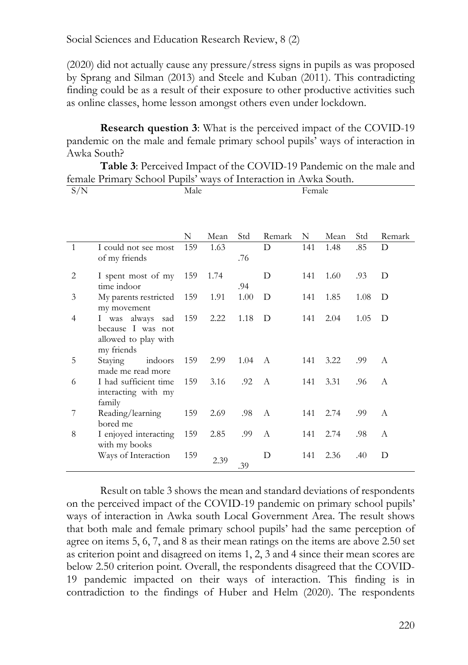(2020) did not actually cause any pressure/stress signs in pupils as was proposed by Sprang and Silman (2013) and Steele and Kuban (2011). This contradicting finding could be as a result of their exposure to other productive activities such as online classes, home lesson amongst others even under lockdown.

**Research question 3**: What is the perceived impact of the COVID-19 pandemic on the male and female primary school pupils' ways of interaction in Awka South?

**Table 3**: Perceived Impact of the COVID-19 Pandemic on the male and female Primary School Pupils' ways of Interaction in Awka South.

| S/N          |                                                                                | Male |      |      |        | Female |      |      |              |
|--------------|--------------------------------------------------------------------------------|------|------|------|--------|--------|------|------|--------------|
|              |                                                                                |      |      |      |        |        |      |      |              |
|              |                                                                                | N    | Mean | Std  | Remark | N      | Mean | Std  | Remark       |
| $\mathbf{1}$ | I could not see most<br>of my friends                                          | 159  | 1.63 | .76  | D      | 141    | 1.48 | .85  | D            |
| 2            | I spent most of my<br>time indoor                                              | 159  | 1.74 | .94  | D      | 141    | 1.60 | .93  | D            |
| 3            | My parents restricted<br>my movement                                           | 159  | 1.91 | 1.00 | D      | 141    | 1.85 | 1.08 | D            |
| 4            | I was always<br>sad<br>because I was not<br>allowed to play with<br>my friends | 159  | 2.22 | 1.18 | D      | 141    | 2.04 | 1.05 | D            |
| 5            | indoors<br>Staying<br>made me read more                                        | 159  | 2.99 | 1.04 | A      | 141    | 3.22 | .99  | $\mathsf{A}$ |
| 6            | I had sufficient time<br>interacting with my<br>family                         | 159  | 3.16 | .92  | A      | 141    | 3.31 | .96  | A            |
| 7            | Reading/learning<br>bored me                                                   | 159  | 2.69 | .98  | A      | 141    | 2.74 | .99  | A            |
| 8            | I enjoyed interacting<br>with my books                                         | 159  | 2.85 | .99  | A      | 141    | 2.74 | .98  | A            |
|              | Ways of Interaction                                                            | 159  | 2.39 | .39  | D      | 141    | 2.36 | .40  | D            |

Result on table 3 shows the mean and standard deviations of respondents on the perceived impact of the COVID-19 pandemic on primary school pupils' ways of interaction in Awka south Local Government Area. The result shows that both male and female primary school pupils' had the same perception of agree on items 5, 6, 7, and 8 as their mean ratings on the items are above 2.50 set as criterion point and disagreed on items 1, 2, 3 and 4 since their mean scores are below 2.50 criterion point. Overall, the respondents disagreed that the COVID-19 pandemic impacted on their ways of interaction. This finding is in contradiction to the findings of Huber and Helm (2020). The respondents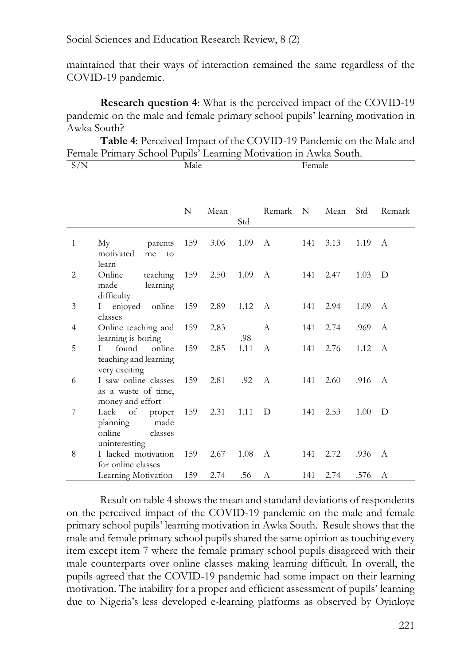maintained that their ways of interaction remained the same regardless of the COVID-19 pandemic.

**Research question 4**: What is the perceived impact of the COVID-19 pandemic on the male and female primary school pupils' learning motivation in Awka South?

**Table 4**: Perceived Impact of the COVID-19 Pandemic on the Male and Female Primary School Pupils' Learning Motivation in Awka South.

| S/N            |                                                                                | Male |      |      |              | Female |      |      |               |
|----------------|--------------------------------------------------------------------------------|------|------|------|--------------|--------|------|------|---------------|
|                |                                                                                |      |      |      |              |        |      |      |               |
|                |                                                                                | N    | Mean | Std  | Remark       | N      | Mean | Std  | Remark        |
| $\mathbf{1}$   | My<br>parents<br>motivated<br>me<br>to                                         | 159  | 3.06 | 1.09 | A            | 141    | 3.13 | 1.19 | A             |
| 2              | learn<br>Online<br>teaching<br>made<br>learning<br>difficulty                  | 159  | 2.50 | 1.09 | $\mathbf{A}$ | 141    | 2.47 | 1.03 | D             |
| $\mathfrak{Z}$ | I enjoyed online<br>classes                                                    | 159  | 2.89 | 1.12 | A            | 141    | 2.94 | 1.09 | $\mathsf{A}$  |
| 4              | Online teaching and<br>learning is boring                                      | 159  | 2.83 | .98  | $\mathsf{A}$ | 141    | 2.74 | .969 | А             |
| 5              | online<br>L<br>found<br>teaching and learning<br>very exciting                 | 159  | 2.85 | 1.11 | $\mathsf{A}$ | 141    | 2.76 | 1.12 | $\mathcal{A}$ |
| 6              | I saw online classes<br>as a waste of time,<br>money and effort                | 159  | 2.81 | .92  | $\mathsf{A}$ | 141    | 2.60 | .916 | $\mathsf{A}$  |
| 7              | Lack<br>of<br>proper<br>planning<br>made<br>online<br>classes<br>uninteresting | 159  | 2.31 | 1.11 | D            | 141    | 2.53 | 1.00 | D             |
| 8              | I lacked motivation<br>for online classes                                      | 159  | 2.67 | 1.08 | A            | 141    | 2.72 | .936 | А             |
|                | Learning Motivation                                                            | 159  | 2.74 | .56  | А            | 141    | 2.74 | .576 | А             |

Result on table 4 shows the mean and standard deviations of respondents on the perceived impact of the COVID-19 pandemic on the male and female primary school pupils' learning motivation in Awka South. Result shows that the male and female primary school pupils shared the same opinion as touching every item except item 7 where the female primary school pupils disagreed with their male counterparts over online classes making learning difficult. In overall, the pupils agreed that the COVID-19 pandemic had some impact on their learning motivation. The inability for a proper and efficient assessment of pupils' learning due to Nigeria's less developed e-learning platforms as observed by Oyinloye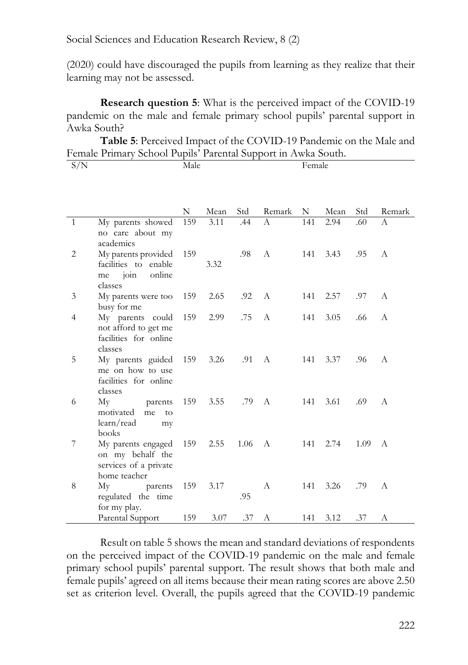(2020) could have discouraged the pupils from learning as they realize that their learning may not be assessed.

**Research question 5**: What is the perceived impact of the COVID-19 pandemic on the male and female primary school pupils' parental support in Awka South?

**Table 5**: Perceived Impact of the COVID-19 Pandemic on the Male and Female Primary School Pupils' Parental Support in Awka South.

| S/N            |                                                                                           | Male |      |      |              | Female |      |      |              |  |
|----------------|-------------------------------------------------------------------------------------------|------|------|------|--------------|--------|------|------|--------------|--|
|                |                                                                                           |      |      |      |              |        |      |      |              |  |
|                |                                                                                           |      |      |      |              |        |      |      |              |  |
|                |                                                                                           | N    | Mean | Std  | Remark       | N      | Mean | Std  | Remark       |  |
| $\mathbf{1}$   | My parents showed<br>no care about my<br>academics                                        | 159  | 3.11 | .44  | A            | 141    | 2.94 | .60  | A            |  |
| 2              | My parents provided<br>facilities to enable<br>online<br>$\overline{10}$<br>me<br>classes | 159  | 3.32 | .98  | $\mathsf{A}$ | 141    | 3.43 | .95  | $\mathsf{A}$ |  |
| 3              | My parents were too<br>busy for me                                                        | 159  | 2.65 | .92  | A            | 141    | 2.57 | .97  | A            |  |
| $\overline{4}$ | My parents could<br>not afford to get me<br>facilities for online<br>classes              | 159  | 2.99 | .75  | А            | 141    | 3.05 | .66  | A            |  |
| 5              | My parents guided<br>me on how to use<br>facilities for online<br>classes                 | 159  | 3.26 | .91  | A            | 141    | 3.37 | .96  | $\mathsf{A}$ |  |
| 6              | My<br>parents<br>motivated<br>me<br>to<br>learn/read<br>my<br>books                       | 159  | 3.55 | .79  | A            | 141    | 3.61 | .69  | $\mathsf{A}$ |  |
| 7              | My parents engaged<br>on my behalf the<br>services of a private<br>home teacher           | 159  | 2.55 | 1.06 | A            | 141    | 2.74 | 1.09 | A            |  |
| 8              | Мy<br>parents<br>regulated the time<br>for my play.                                       | 159  | 3.17 | .95  | A            | 141    | 3.26 | .79  | А            |  |
|                | Parental Support                                                                          | 159  | 3.07 | .37  | А            | 141    | 3.12 | .37  | А            |  |

Result on table 5 shows the mean and standard deviations of respondents on the perceived impact of the COVID-19 pandemic on the male and female primary school pupils' parental support. The result shows that both male and female pupils' agreed on all items because their mean rating scores are above 2.50 set as criterion level. Overall, the pupils agreed that the COVID-19 pandemic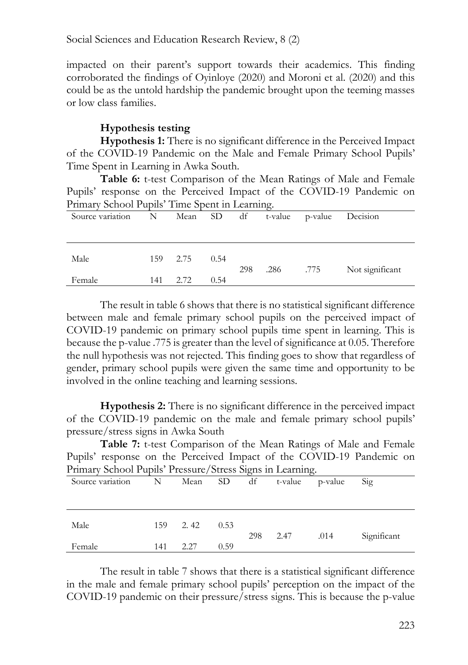impacted on their parent's support towards their academics. This finding corroborated the findings of Oyinloye (2020) and Moroni et al. (2020) and this could be as the untold hardship the pandemic brought upon the teeming masses or low class families.

### **Hypothesis testing**

**Hypothesis 1:** There is no significant difference in the Perceived Impact of the COVID-19 Pandemic on the Male and Female Primary School Pupils' Time Spent in Learning in Awka South.

**Table 6:** t-test Comparison of the Mean Ratings of Male and Female Pupils' response on the Perceived Impact of the COVID-19 Pandemic on Primary School Pupils' Time Spent in Learning.

| Source variation | N   |      | Mean SD | df  |      | t-value p-value | Decision        |
|------------------|-----|------|---------|-----|------|-----------------|-----------------|
|                  |     |      |         |     |      |                 |                 |
|                  |     |      |         |     |      |                 |                 |
| Male             | 159 | 2.75 | 0.54    |     |      |                 |                 |
| Female           | 141 | 2.72 | 0.54    | 298 | .286 | .775            | Not significant |
|                  |     |      |         |     |      |                 |                 |

The result in table 6 shows that there is no statistical significant difference between male and female primary school pupils on the perceived impact of COVID-19 pandemic on primary school pupils time spent in learning. This is because the p-value .775 is greater than the level of significance at 0.05. Therefore the null hypothesis was not rejected. This finding goes to show that regardless of gender, primary school pupils were given the same time and opportunity to be involved in the online teaching and learning sessions.

**Hypothesis 2:** There is no significant difference in the perceived impact of the COVID-19 pandemic on the male and female primary school pupils' pressure/stress signs in Awka South

**Table 7:** t-test Comparison of the Mean Ratings of Male and Female Pupils' response on the Perceived Impact of the COVID-19 Pandemic on Primary School Pupils' Pressure/Stress Signs in Learning.

| Source variation | $\mathbf N$ | Mean SD |      |     | df t-value | p-value | Sig         |
|------------------|-------------|---------|------|-----|------------|---------|-------------|
| Male             | 159         | 2.42    | 0.53 |     |            |         |             |
| Female           | 141         | 2.27    | 0.59 | 298 | 2.47       | .014    | Significant |

The result in table 7 shows that there is a statistical significant difference in the male and female primary school pupils' perception on the impact of the COVID-19 pandemic on their pressure/stress signs. This is because the p-value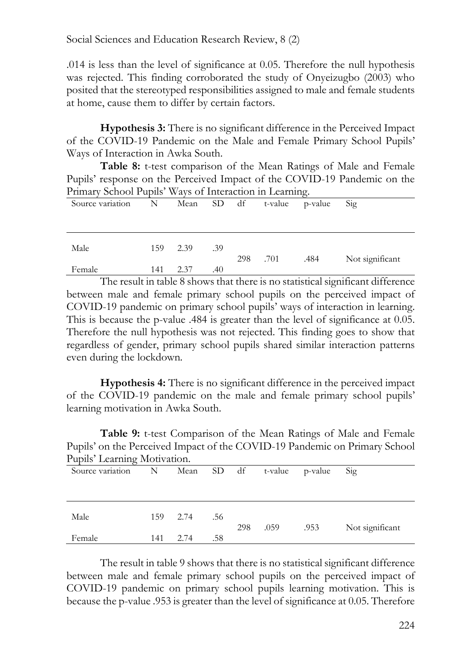.014 is less than the level of significance at 0.05. Therefore the null hypothesis was rejected. This finding corroborated the study of Onyeizugbo (2003) who posited that the stereotyped responsibilities assigned to male and female students at home, cause them to differ by certain factors.

**Hypothesis 3:** There is no significant difference in the Perceived Impact of the COVID-19 Pandemic on the Male and Female Primary School Pupils' Ways of Interaction in Awka South.

**Table 8:** t-test comparison of the Mean Ratings of Male and Female Pupils' response on the Perceived Impact of the COVID-19 Pandemic on the Primary School Pupils' Ways of Interaction in Learning.

| Source variation | N   | Mean | SD df |     | t-value | p-value | Sig             |
|------------------|-----|------|-------|-----|---------|---------|-----------------|
|                  |     |      |       |     |         |         |                 |
| Male             | 159 | 2.39 | .39   | 298 | .701    | .484    | Not significant |
| Female           | 141 | 2.37 | .40   |     |         |         |                 |

The result in table 8 shows that there is no statistical significant difference between male and female primary school pupils on the perceived impact of COVID-19 pandemic on primary school pupils' ways of interaction in learning. This is because the p-value .484 is greater than the level of significance at 0.05. Therefore the null hypothesis was not rejected. This finding goes to show that regardless of gender, primary school pupils shared similar interaction patterns even during the lockdown.

**Hypothesis 4:** There is no significant difference in the perceived impact of the COVID-19 pandemic on the male and female primary school pupils' learning motivation in Awka South.

**Table 9:** t-test Comparison of the Mean Ratings of Male and Female Pupils' on the Perceived Impact of the COVID-19 Pandemic on Primary School Pupils' Learning Motivation.

| Source variation | N   | Mean SD df |     |     | t-value | p-value | Sig             |
|------------------|-----|------------|-----|-----|---------|---------|-----------------|
|                  |     |            |     |     |         |         |                 |
| Male             | 159 | 2.74       | .56 | 298 |         |         |                 |
| Female           | 141 | 2.74       | .58 |     | .059    | .953    | Not significant |

The result in table 9 shows that there is no statistical significant difference between male and female primary school pupils on the perceived impact of COVID-19 pandemic on primary school pupils learning motivation. This is because the p-value .953 is greater than the level of significance at 0.05. Therefore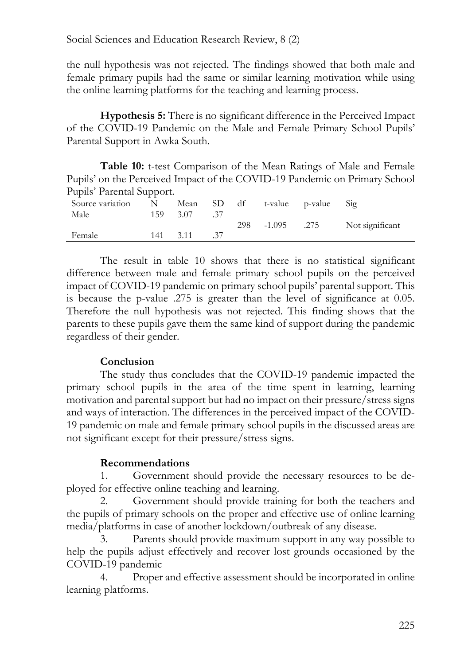the null hypothesis was not rejected. The findings showed that both male and female primary pupils had the same or similar learning motivation while using the online learning platforms for the teaching and learning process.

**Hypothesis 5:** There is no significant difference in the Perceived Impact of the COVID-19 Pandemic on the Male and Female Primary School Pupils' Parental Support in Awka South.

**Table 10:** t-test Comparison of the Mean Ratings of Male and Female Pupils' on the Perceived Impact of the COVID-19 Pandemic on Primary School Pupils' Parental Support.

| Source variation |     | Mean | SD | df  | t-value  | p-value | 512             |
|------------------|-----|------|----|-----|----------|---------|-----------------|
|                  |     |      |    |     |          |         |                 |
| Male             | 59ء | 3.07 |    |     |          |         |                 |
|                  |     |      |    | 298 | $-1.095$ | .275    | Not significant |
| Female           | 141 |      |    |     |          |         |                 |
|                  |     |      |    |     |          |         |                 |

The result in table 10 shows that there is no statistical significant difference between male and female primary school pupils on the perceived impact of COVID-19 pandemic on primary school pupils' parental support. This is because the p-value .275 is greater than the level of significance at 0.05. Therefore the null hypothesis was not rejected. This finding shows that the parents to these pupils gave them the same kind of support during the pandemic regardless of their gender.

### **Conclusion**

The study thus concludes that the COVID-19 pandemic impacted the primary school pupils in the area of the time spent in learning, learning motivation and parental support but had no impact on their pressure/stress signs and ways of interaction. The differences in the perceived impact of the COVID-19 pandemic on male and female primary school pupils in the discussed areas are not significant except for their pressure/stress signs.

### **Recommendations**

1. Government should provide the necessary resources to be deployed for effective online teaching and learning.

2. Government should provide training for both the teachers and the pupils of primary schools on the proper and effective use of online learning media/platforms in case of another lockdown/outbreak of any disease.

3. Parents should provide maximum support in any way possible to help the pupils adjust effectively and recover lost grounds occasioned by the COVID-19 pandemic

4. Proper and effective assessment should be incorporated in online learning platforms.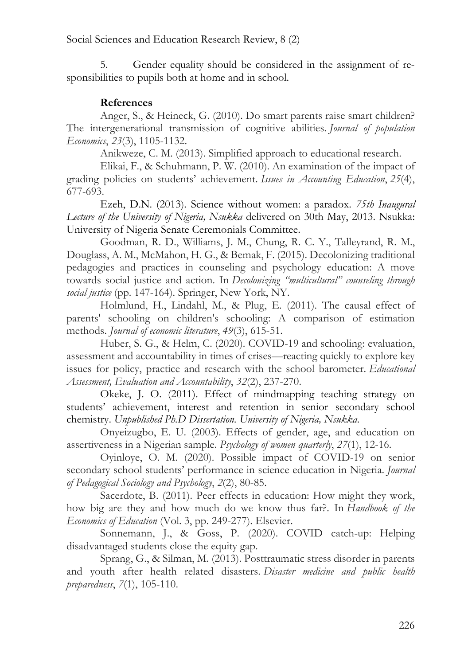5. Gender equality should be considered in the assignment of responsibilities to pupils both at home and in school.

# **References**

Anger, S., & Heineck, G. (2010). Do smart parents raise smart children? The intergenerational transmission of cognitive abilities. *Journal of population Economics*, *23*(3), 1105-1132.

Anikweze, C. M. (2013). Simplified approach to educational research.

Elikai, F., & Schuhmann, P. W. (2010). An examination of the impact of grading policies on students' achievement. *Issues in Accounting Education*, *25*(4), 677-693.

Ezeh, D.N. (2013). Science without women: a paradox. *75th Inaugural Lecture of the University of Nigeria, Nsukka* delivered on 30th May, 2013. Nsukka: University of Nigeria Senate Ceremonials Committee.

Goodman, R. D., Williams, J. M., Chung, R. C. Y., Talleyrand, R. M., Douglass, A. M., McMahon, H. G., & Bemak, F. (2015). Decolonizing traditional pedagogies and practices in counseling and psychology education: A move towards social justice and action. In *Decolonizing "multicultural" counseling through social justice* (pp. 147-164). Springer, New York, NY.

Holmlund, H., Lindahl, M., & Plug, E. (2011). The causal effect of parents' schooling on children's schooling: A comparison of estimation methods. *Journal of economic literature*, *49*(3), 615-51.

Huber, S. G., & Helm, C. (2020). COVID-19 and schooling: evaluation, assessment and accountability in times of crises—reacting quickly to explore key issues for policy, practice and research with the school barometer. *Educational Assessment, Evaluation and Accountability*, *32*(2), 237-270.

Okeke, J. O. (2011). Effect of mindmapping teaching strategy on students' achievement, interest and retention in senior secondary school chemistry. *Unpublished Ph.D Dissertation. University of Nigeria, Nsukka.*

Onyeizugbo, E. U. (2003). Effects of gender, age, and education on assertiveness in a Nigerian sample. *Psychology of women quarterly*, *27*(1), 12-16.

Oyinloye, O. M. (2020). Possible impact of COVID-19 on senior secondary school students' performance in science education in Nigeria. *Journal of Pedagogical Sociology and Psychology*, *2*(2), 80-85.

Sacerdote, B. (2011). Peer effects in education: How might they work, how big are they and how much do we know thus far?. In *Handbook of the Economics of Education* (Vol. 3, pp. 249-277). Elsevier.

Sonnemann, J., & Goss, P. (2020). COVID catch-up: Helping disadvantaged students close the equity gap.

Sprang, G., & Silman, M. (2013). Posttraumatic stress disorder in parents and youth after health related disasters. *Disaster medicine and public health preparedness*, *7*(1), 105-110.